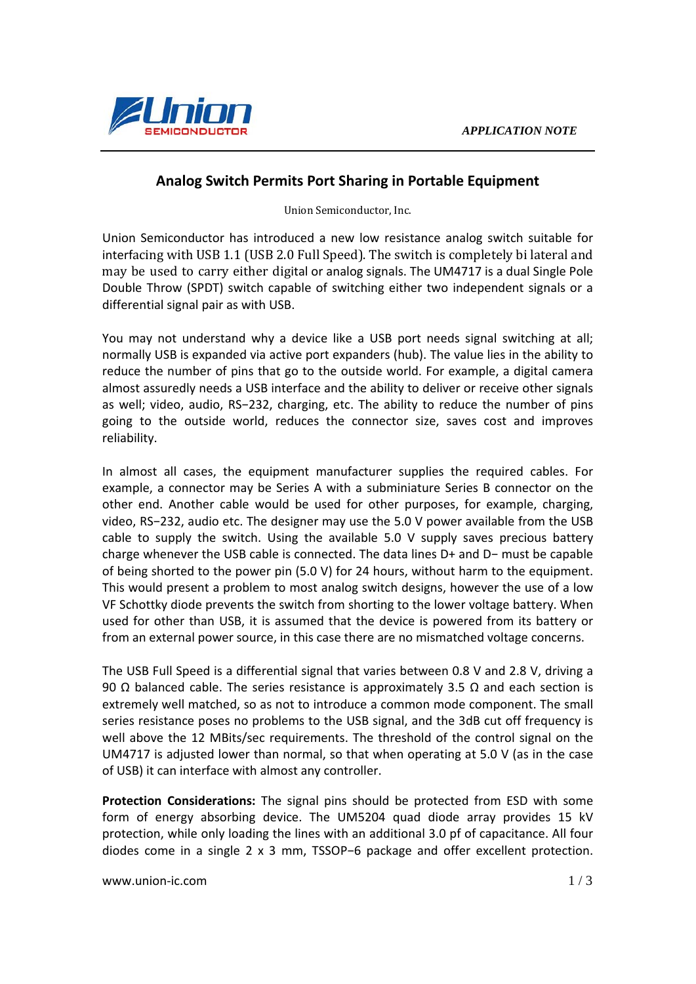

## **Analog Switch Permits Port Sharing in Portable Equipment**

Union Semiconductor, Inc.

Union Semiconductor has introduced a new low resistance analog switch suitable for interfacing with USB 1.1 (USB 2.0 Full Speed). The switch is completely bi lateral and may be used to carry either digital or analog signals. The UM4717 is a dual Single Pole Double Throw (SPDT) switch capable of switching either two independent signals or a differential signal pair as with USB.

You may not understand why a device like a USB port needs signal switching at all; normally USB is expanded via active port expanders (hub). The value lies in the ability to reduce the number of pins that go to the outside world. For example, a digital camera almost assuredly needs a USB interface and the ability to deliver or receive other signals as well; video, audio, RS−232, charging, etc. The ability to reduce the number of pins going to the outside world, reduces the connector size, saves cost and improves reliability.

In almost all cases, the equipment manufacturer supplies the required cables. For example, a connector may be Series A with a subminiature Series B connector on the other end. Another cable would be used for other purposes, for example, charging, video, RS−232, audio etc. The designer may use the 5.0 V power available from the USB cable to supply the switch. Using the available 5.0 V supply saves precious battery charge whenever the USB cable is connected. The data lines D+ and D− must be capable of being shorted to the power pin (5.0 V) for 24 hours, without harm to the equipment. This would present a problem to most analog switch designs, however the use of a low VF Schottky diode prevents the switch from shorting to the lower voltage battery. When used for other than USB, it is assumed that the device is powered from its battery or from an external power source, in this case there are no mismatched voltage concerns.

The USB Full Speed is a differential signal that varies between 0.8 V and 2.8 V, driving a 90 Ω balanced cable. The series resistance is approximately 3.5 Ω and each section is extremely well matched, so as not to introduce a common mode component. The small series resistance poses no problems to the USB signal, and the 3dB cut off frequency is well above the 12 MBits/sec requirements. The threshold of the control signal on the UM4717 is adjusted lower than normal, so that when operating at 5.0 V (as in the case of USB) it can interface with almost any controller.

**Protection Considerations:** The signal pins should be protected from ESD with some form of energy absorbing device. The UM5204 quad diode array provides 15 kV protection, while only loading the lines with an additional 3.0 pf of capacitance. All four diodes come in a single 2 x 3 mm, TSSOP−6 package and offer excellent protection.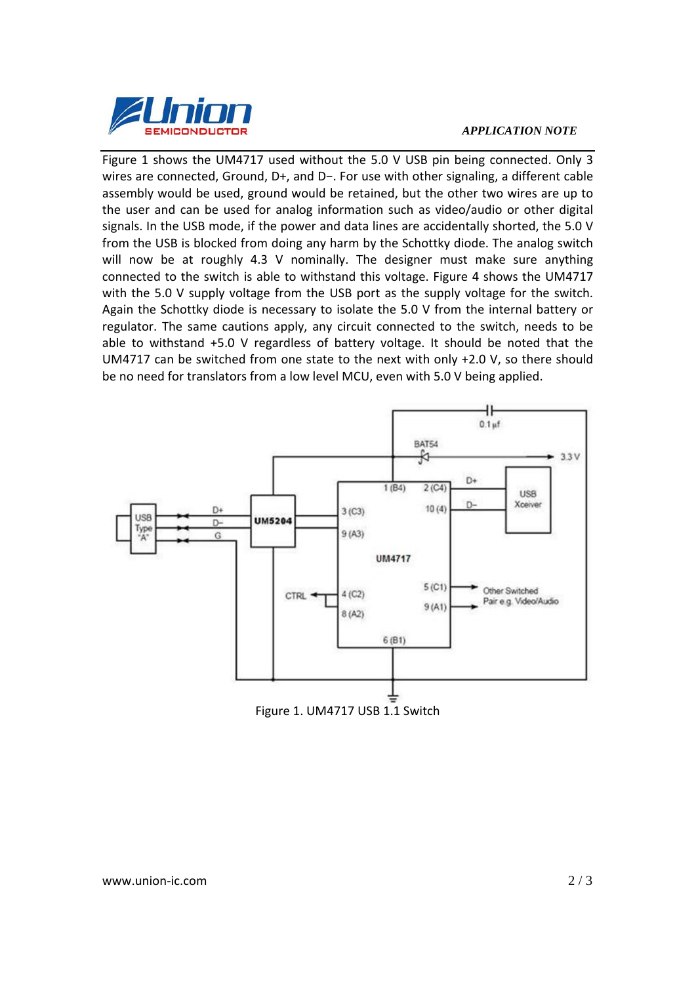

## *APPLICATION NOTE*

Figure 1 shows the UM4717 used without the 5.0 V USB pin being connected. Only 3 wires are connected, Ground, D+, and D−. For use with other signaling, a different cable assembly would be used, ground would be retained, but the other two wires are up to the user and can be used for analog information such as video/audio or other digital signals. In the USB mode, if the power and data lines are accidentally shorted, the 5.0 V from the USB is blocked from doing any harm by the Schottky diode. The analog switch will now be at roughly 4.3 V nominally. The designer must make sure anything connected to the switch is able to withstand this voltage. Figure 4 shows the UM4717 with the 5.0 V supply voltage from the USB port as the supply voltage for the switch. Again the Schottky diode is necessary to isolate the 5.0 V from the internal battery or regulator. The same cautions apply, any circuit connected to the switch, needs to be able to withstand +5.0 V regardless of battery voltage. It should be noted that the UM4717 can be switched from one state to the next with only +2.0 V, so there should be no need for translators from a low level MCU, even with 5.0 V being applied.



Figure 1. UM4717 USB 1.1 Switch